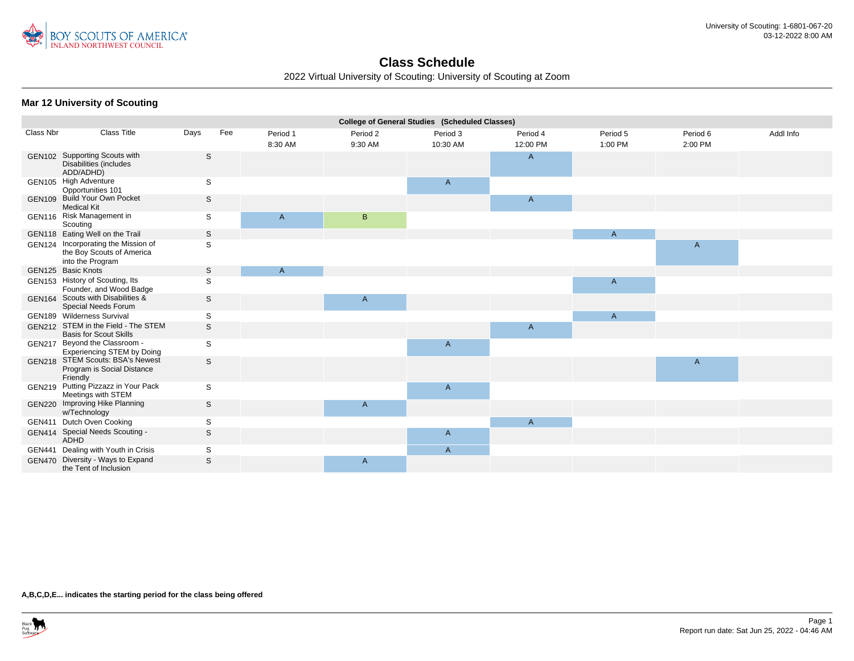

2022 Virtual University of Scouting: University of Scouting at Zoom

#### **Mar 12 University of Scouting**

|               | <b>College of General Studies (Scheduled Classes)</b>                                |              |     |          |                |                |              |                |              |           |  |
|---------------|--------------------------------------------------------------------------------------|--------------|-----|----------|----------------|----------------|--------------|----------------|--------------|-----------|--|
| Class Nbr     | <b>Class Title</b>                                                                   | Days         | Fee | Period 1 | Period 2       | Period 3       | Period 4     | Period 5       | Period 6     | Addl Info |  |
|               |                                                                                      |              |     | 8:30 AM  | 9:30 AM        | 10:30 AM       | 12:00 PM     | 1:00 PM        | 2:00 PM      |           |  |
|               | GEN102 Supporting Scouts with<br>Disabilities (includes<br>ADD/ADHD)                 | S            |     |          |                |                | A            |                |              |           |  |
|               | GEN105 High Adventure<br>Opportunities 101                                           | S            |     |          |                | $\mathsf{A}$   |              |                |              |           |  |
| GEN109        | <b>Build Your Own Pocket</b><br><b>Medical Kit</b>                                   | S            |     |          |                |                | A            |                |              |           |  |
|               | GEN116 Risk Management in<br>Scouting                                                | S            |     | A        | B              |                |              |                |              |           |  |
|               | GEN118 Eating Well on the Trail                                                      | S            |     |          |                |                |              | $\mathsf{A}$   |              |           |  |
|               | GEN124 Incorporating the Mission of<br>the Boy Scouts of America<br>into the Program | S            |     |          |                |                |              |                | $\mathsf{A}$ |           |  |
|               | GEN125 Basic Knots                                                                   | S            |     | A        |                |                |              |                |              |           |  |
|               | GEN153 History of Scouting, Its<br>Founder, and Wood Badge                           | S            |     |          |                |                |              | $\mathsf{A}$   |              |           |  |
|               | GEN164 Scouts with Disabilities &<br>Special Needs Forum                             | S            |     |          | $\mathsf{A}$   |                |              |                |              |           |  |
|               | GEN189 Wilderness Survival                                                           | S            |     |          |                |                |              | $\overline{A}$ |              |           |  |
|               | GEN212 STEM in the Field - The STEM<br><b>Basis for Scout Skills</b>                 | $\mathsf{s}$ |     |          |                |                | A            |                |              |           |  |
| <b>GEN217</b> | Beyond the Classroom -<br><b>Experiencing STEM by Doing</b>                          | S            |     |          |                | $\mathsf{A}$   |              |                |              |           |  |
| <b>GEN218</b> | <b>STEM Scouts: BSA's Newest</b><br>Program is Social Distance<br>Friendly           | S            |     |          |                |                |              |                | $\mathsf{A}$ |           |  |
| GEN219        | Putting Pizzazz in Your Pack<br>Meetings with STEM                                   | S            |     |          |                | $\mathsf{A}$   |              |                |              |           |  |
|               | GEN220 Improving Hike Planning<br>w/Technology                                       | S            |     |          | $\overline{A}$ |                |              |                |              |           |  |
|               | GEN411 Dutch Oven Cooking                                                            | S            |     |          |                |                | $\mathsf{A}$ |                |              |           |  |
|               | GEN414 Special Needs Scouting -<br><b>ADHD</b>                                       | S            |     |          |                | $\mathsf{A}$   |              |                |              |           |  |
|               | GEN441 Dealing with Youth in Crisis                                                  | S            |     |          |                | $\overline{A}$ |              |                |              |           |  |
|               | GEN470 Diversity - Ways to Expand<br>the Tent of Inclusion                           | $\mathsf{s}$ |     |          | $\mathsf{A}$   |                |              |                |              |           |  |
|               |                                                                                      |              |     |          |                |                |              |                |              |           |  |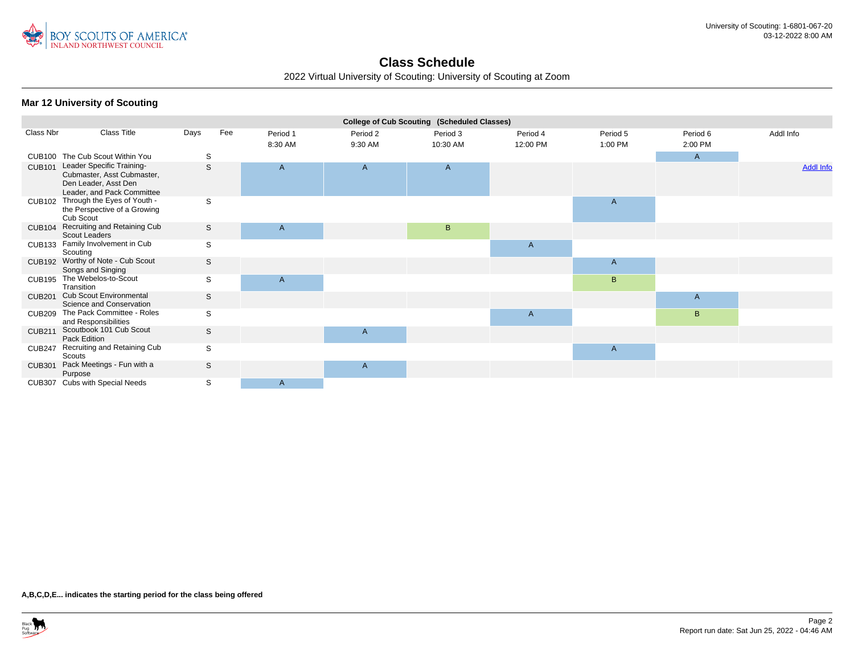

2022 Virtual University of Scouting: University of Scouting at Zoom

#### **Mar 12 University of Scouting**

|               | College of Cub Scouting (Scheduled Classes)                                                                   |      |     |                     |                     |                      |                      |                     |                     |                  |  |
|---------------|---------------------------------------------------------------------------------------------------------------|------|-----|---------------------|---------------------|----------------------|----------------------|---------------------|---------------------|------------------|--|
| Class Nbr     | <b>Class Title</b>                                                                                            | Days | Fee | Period 1<br>8:30 AM | Period 2<br>9:30 AM | Period 3<br>10:30 AM | Period 4<br>12:00 PM | Period 5<br>1:00 PM | Period 6<br>2:00 PM | Addl Info        |  |
|               | CUB100 The Cub Scout Within You                                                                               | S    |     |                     |                     |                      |                      |                     | $\mathsf{A}$        |                  |  |
| <b>CUB101</b> | Leader Specific Training-<br>Cubmaster, Asst Cubmaster,<br>Den Leader, Asst Den<br>Leader, and Pack Committee | S    |     | $\mathsf{A}$        | A                   | $\mathsf{A}$         |                      |                     |                     | <b>Addl Info</b> |  |
| <b>CUB102</b> | Through the Eyes of Youth -<br>the Perspective of a Growing<br>Cub Scout                                      | S    |     |                     |                     |                      |                      | A                   |                     |                  |  |
| <b>CUB104</b> | Recruiting and Retaining Cub<br>Scout Leaders                                                                 | S    |     | A                   |                     | B                    |                      |                     |                     |                  |  |
| <b>CUB133</b> | Family Involvement in Cub<br>Scouting                                                                         | S    |     |                     |                     |                      | $\mathsf{A}$         |                     |                     |                  |  |
|               | CUB192 Worthy of Note - Cub Scout<br>Songs and Singing                                                        | S    |     |                     |                     |                      |                      | A                   |                     |                  |  |
| <b>CUB195</b> | The Webelos-to-Scout<br>Transition                                                                            | S    |     | $\mathsf{A}$        |                     |                      |                      | B                   |                     |                  |  |
| <b>CUB201</b> | <b>Cub Scout Environmental</b><br>Science and Conservation                                                    | S    |     |                     |                     |                      |                      |                     | $\mathsf{A}$        |                  |  |
| <b>CUB209</b> | The Pack Committee - Roles<br>and Responsibilities                                                            | S    |     |                     |                     |                      | $\mathsf{A}$         |                     | $\mathsf B$         |                  |  |
| <b>CUB211</b> | Scoutbook 101 Cub Scout<br>Pack Edition                                                                       | S    |     |                     | A                   |                      |                      |                     |                     |                  |  |
| <b>CUB247</b> | Recruiting and Retaining Cub<br>Scouts                                                                        | S    |     |                     |                     |                      |                      | $\mathsf{A}$        |                     |                  |  |
| <b>CUB301</b> | Pack Meetings - Fun with a<br>Purpose                                                                         | S    |     |                     | A                   |                      |                      |                     |                     |                  |  |
|               | CUB307 Cubs with Special Needs                                                                                | S    |     | $\mathsf{A}$        |                     |                      |                      |                     |                     |                  |  |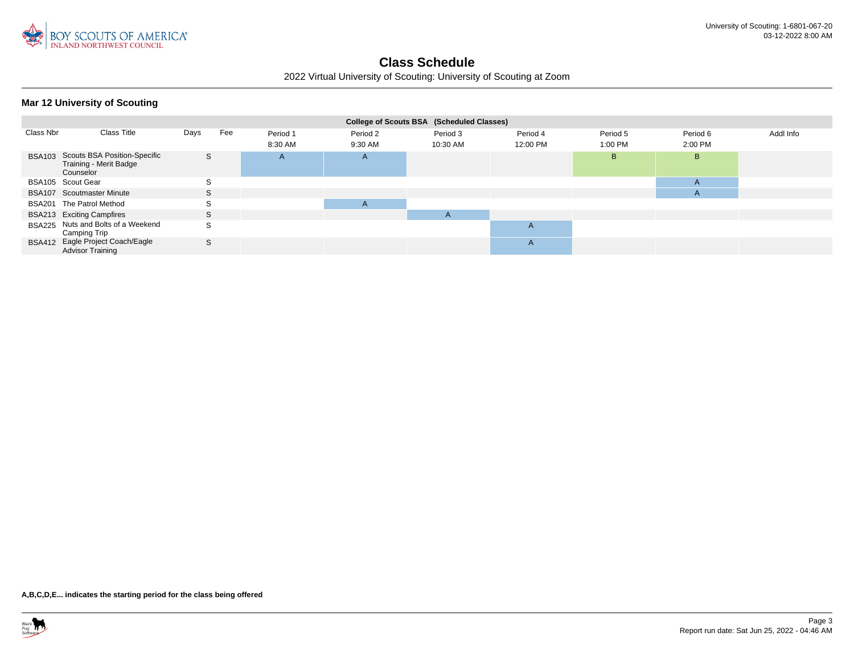

2022 Virtual University of Scouting: University of Scouting at Zoom

|  |  | Mar 12 University of Scouting |
|--|--|-------------------------------|
|--|--|-------------------------------|

|           |                                                                            |              |     |                     |                     | College of Scouts BSA (Scheduled Classes) |                      |                     |                     |           |
|-----------|----------------------------------------------------------------------------|--------------|-----|---------------------|---------------------|-------------------------------------------|----------------------|---------------------|---------------------|-----------|
| Class Nbr | Class Title                                                                | Days         | Fee | Period 1<br>8:30 AM | Period 2<br>9:30 AM | Period 3<br>10:30 AM                      | Period 4<br>12:00 PM | Period 5<br>1:00 PM | Period 6<br>2:00 PM | Addl Info |
|           | BSA103 Scouts BSA Position-Specific<br>Training - Merit Badge<br>Counselor | S            |     | A                   | $\mathsf{A}$        |                                           |                      | B.                  | B.                  |           |
|           | BSA105 Scout Gear                                                          | <sub>S</sub> |     |                     |                     |                                           |                      |                     | $\mathsf{A}$        |           |
|           | BSA107 Scoutmaster Minute                                                  | S.           |     |                     |                     |                                           |                      |                     | $\mathsf{A}$        |           |
|           | BSA201 The Patrol Method                                                   | S            |     |                     | $\mathsf{A}$        |                                           |                      |                     |                     |           |
|           | BSA213 Exciting Campfires                                                  | S            |     |                     |                     | A                                         |                      |                     |                     |           |
|           | BSA225 Nuts and Bolts of a Weekend<br>Camping Trip                         | S            |     |                     |                     |                                           | A                    |                     |                     |           |
|           | BSA412 Eagle Project Coach/Eagle<br><b>Advisor Training</b>                | <sub>S</sub> |     |                     |                     |                                           | A                    |                     |                     |           |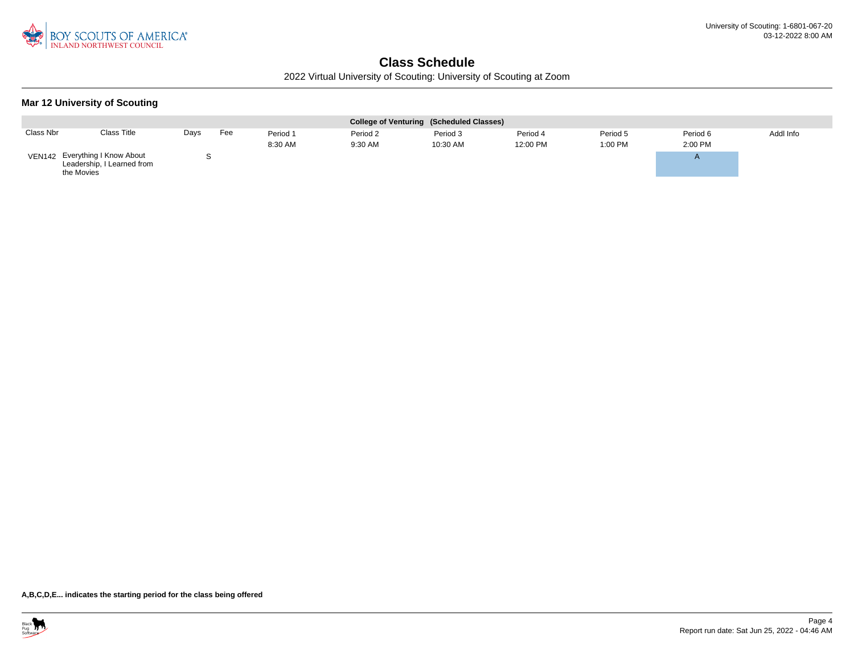

2022 Virtual University of Scouting: University of Scouting at Zoom

#### **Mar 12 University of Scouting**

|           |                                                                            |      |     |          |          | College of Venturing (Scheduled Classes) |          |          |          |           |
|-----------|----------------------------------------------------------------------------|------|-----|----------|----------|------------------------------------------|----------|----------|----------|-----------|
| Class Nbr | <b>Class Title</b>                                                         | Days | Fee | Period 1 | Period 2 | Period 3                                 | Period 4 | Period 5 | Period 6 | Addl Info |
|           |                                                                            |      |     | 8:30 AM  | 9:30 AM  | 10:30 AM                                 | 12:00 PM | 1:00 PM  | 2:00 PM  |           |
|           | VEN142 Everything I Know About<br>Leadership, I Learned from<br>the Movies |      |     |          |          |                                          |          |          |          |           |